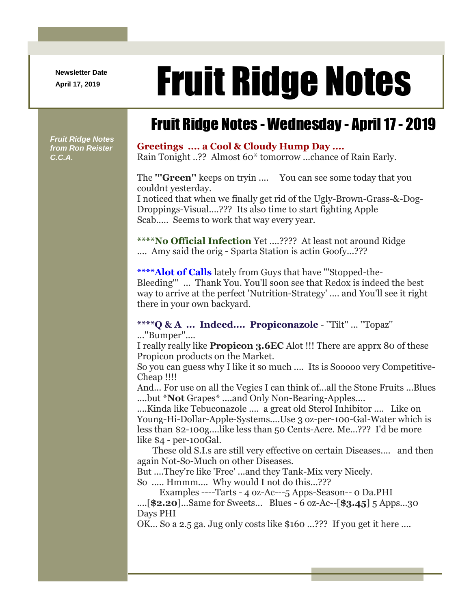**Newsletter Date**

# April 17, 2019 **Fruit Ridge Notes**

## Fruit Ridge Notes - Wednesday - April 17 - 2019

*Fruit Ridge Notes from Ron Reister C.C.A.*

#### **Greetings .... a Cool & Cloudy Hump Day ....**

Rain Tonight ..?? Almost 60\* tomorrow ...chance of Rain Early.

The **'''Green''** keeps on tryin .... You can see some today that you couldnt yesterday.

I noticed that when we finally get rid of the Ugly-Brown-Grass-&-Dog-Droppings-Visual....??? Its also time to start fighting Apple Scab..... Seems to work that way every year.

**\*\*\*\*No Official Infection** Yet ....???? At least not around Ridge .... Amy said the orig - Sparta Station is actin Goofy...???

**\*\*\*\*Alot of Calls** lately from Guys that have '''Stopped-the-Bleeding''' ... Thank You. You'll soon see that Redox is indeed the best way to arrive at the perfect 'Nutrition-Strategy' .... and You'll see it right there in your own backyard.

### **\*\*\*\*Q & A ... Indeed.... Propiconazole** - ''Tilt'' ... ''Topaz''

...''Bumper''....

I really really like **Propicon 3.6EC** Alot !!! There are apprx 80 of these Propicon products on the Market.

So you can guess why I like it so much .... Its is Sooooo very Competitive-Cheap !!!!

And... For use on all the Vegies I can think of...all the Stone Fruits ...Blues ....but \***Not** Grapes\* ....and Only Non-Bearing-Apples....

....Kinda like Tebuconazole .... a great old Sterol Inhibitor .... Like on Young-Hi-Dollar-Apple-Systems....Use 3 oz-per-100-Gal-Water which is less than \$2-100g....like less than 50 Cents-Acre. Me...??? I'd be more like \$4 - per-100Gal.

These old S.I.s are still very effective on certain Diseases.... and then again Not-So-Much on other Diseases.

But ....They're like 'Free' ...and they Tank-Mix very Nicely.

So ..... Hmmm.... Why would I not do this...???

Examples ----Tarts - 4 oz-Ac---5 Apps-Season-- 0 Da.PHI ....[**\$2.20**]...Same for Sweets... Blues - 6 oz-Ac--[**\$3.45**] 5 Apps...30 Days PHI

OK... So a 2.5 ga. Jug only costs like \$160 ...??? If you get it here ....